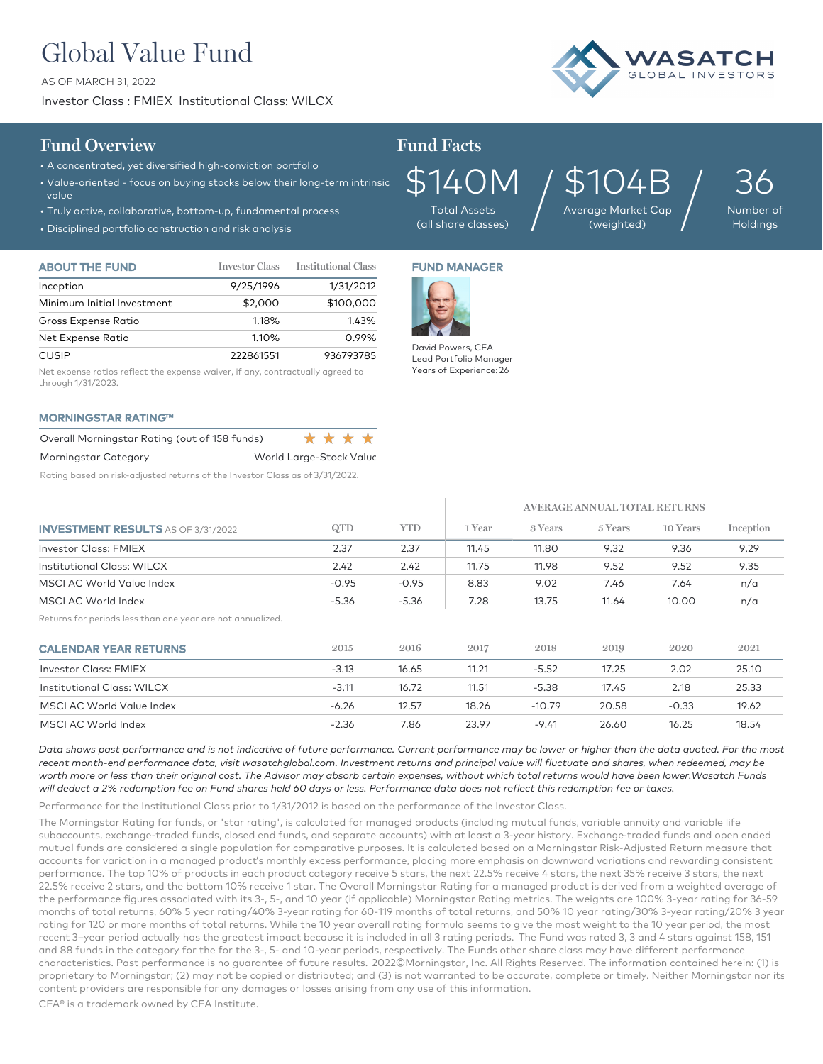# Global Value Fund

AS OF MARCH 31, 2022

Investor Class : FMIEX Institutional Class: WILCX



## **Fund Overview Fund Facts**

- A concentrated, yet diversified high-conviction portfolio
- Value-oriented focus on buying stocks below their long-term intrinsic value
- Truly active, collaborative, bottom-up, fundamental process
- Disciplined portfolio construction and risk analysis

\$140M Total Assets

(all share classes)

\$104B Average Market Cap  $\frac{104}{\frac{20}{20}}$  Market Cap  $/$ 

36 Number of

Holdings

| <b>ABOUT THE FUND</b>      | <b>Investor Class</b> | <b>Institutional Class</b> |
|----------------------------|-----------------------|----------------------------|
| Inception                  | 9/25/1996             | 1/31/2012                  |
| Minimum Initial Investment | \$2,000               | \$100,000                  |
| Gross Expense Ratio        | 1.18%                 | 143%                       |
| Net Expense Ratio          | 1.10%                 | 0.99%                      |
| <b>CUSIP</b>               | 222861551             | 936793785                  |

Net expense ratios reflect the expense waiver, if any, contractually agreed to through 1/31/2023.

### MORNINGSTAR RATING™

| Overall Morningstar Rating (out of 158 funds) |                         | **** |  |  |
|-----------------------------------------------|-------------------------|------|--|--|
| Morningstar Category                          | World Large-Stock Value |      |  |  |

Rating based on risk-adjusted returns of the Investor Class as of 3/31/2022.

## FUND MANAGER



David Powers, CFA Lead Portfolio Manager Years of Experience: 26

|                                                            |         |            | AVERAGE ANNUAL TOTAL RETURNS |          |         |          |           |
|------------------------------------------------------------|---------|------------|------------------------------|----------|---------|----------|-----------|
| <b>INVESTMENT RESULTS AS OF 3/31/2022</b>                  | QTD     | <b>YTD</b> | 1 Year                       | 3 Years  | 5 Years | 10 Years | Inception |
| <b>Investor Class: FMIEX</b>                               | 2.37    | 2.37       | 11.45                        | 11.80    | 9.32    | 9.36     | 9.29      |
| Institutional Class: WILCX                                 | 2.42    | 2.42       | 11.75                        | 11.98    | 9.52    | 9.52     | 9.35      |
| MSCI AC World Value Index                                  | $-0.95$ | $-0.95$    | 8.83                         | 9.02     | 7.46    | 7.64     | n/a       |
| MSCI AC World Index                                        | $-5.36$ | $-5.36$    | 7.28                         | 13.75    | 11.64   | 10.00    | n/a       |
| Returns for periods less than one year are not annualized. |         |            |                              |          |         |          |           |
| <b>CALENDAR YEAR RETURNS</b>                               | 2015    | 2016       | 2017                         | 2018     | 2019    | 2020     | 2021      |
| <b>Investor Class: FMIEX</b>                               | $-3.13$ | 16.65      | 11.21                        | $-5.52$  | 17.25   | 2.02     | 25.10     |
| Institutional Class: WILCX                                 | $-3.11$ | 16.72      | 11.51                        | $-5.38$  | 17.45   | 2.18     | 25.33     |
| MSCI AC World Value Index                                  | $-6.26$ | 12.57      | 18.26                        | $-10.79$ | 20.58   | $-0.33$  | 19.62     |
| MSCI AC World Index                                        | $-2.36$ | 7.86       | 23.97                        | $-9.41$  | 26.60   | 16.25    | 18.54     |

*Data shows past performance and is not indicative of future performance. Current performance may be lower or higher than the data quoted. For the most*  recent month-end performance data, visit wasatchglobal.com. Investment returns and principal value will fluctuate and shares, when redeemed, may be *worth more or less than their original cost. The Advisor may absorb certain expenses, without which total returns would have been lower.Wasatch Funds will deduct a 2% redemption fee on Fund shares held 60 days or less. Performance data does not reflect this redemption fee or taxes.*

Performance for the Institutional Class prior to 1/31/2012 is based on the performance of the Investor Class.

The Morningstar Rating for funds, or 'star rating', is calculated for managed products (including mutual funds, variable annuity and variable life subaccounts, exchange-traded funds, closed end funds, and separate accounts) with at least a 3-year history. Exchange–traded funds and open ended mutual funds are considered a single population for comparative purposes. It is calculated based on a Morningstar Risk-Adjusted Return measure that accounts for variation in a managed product's monthly excess performance, placing more emphasis on downward variations and rewarding consistent performance. The top 10% of products in each product category receive 5 stars, the next 22.5% receive 4 stars, the next 35% receive 3 stars, the next 22.5% receive 2 stars, and the bottom 10% receive 1 star. The Overall Morningstar Rating for a managed product is derived from a weighted average of the performance figures associated with its 3-, 5-, and 10 year (if applicable) Morningstar Rating metrics. The weights are 100% 3-year rating for 36-59 months of total returns, 60% 5 year rating/40% 3-year rating for 60-119 months of total returns, and 50% 10 year rating/30% 3-year rating/20% 3 year rating for 120 or more months of total returns. While the 10 year overall rating formula seems to give the most weight to the 10 year period, the most recent 3–year period actually has the greatest impact because it is included in all 3 rating periods. The Fund was rated 3, 3 and 4 stars against 158, 151 and 88 funds in the category for the for the 3-, 5- and 10-year periods, respectively. The Funds other share class may have different performance characteristics. Past performance is no guarantee of future results. 2022©Morningstar, Inc. All Rights Reserved. The information contained herein: (1) is proprietary to Morningstar; (2) may not be copied or distributed; and (3) is not warranted to be accurate, complete or timely. Neither Morningstar nor its content providers are responsible for any damages or losses arising from any use of this information.

CFA® is a trademark owned by CFA Institute.